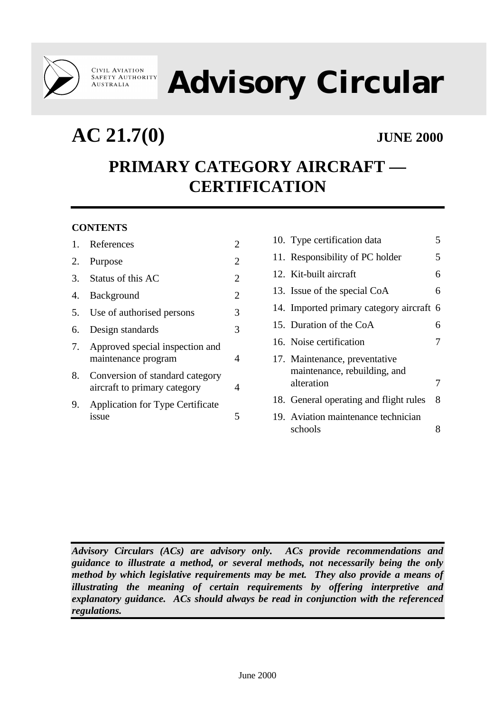

# **Advisory Circular**

**AC 21.7(0) JUNE 2000**

## **PRIMARY CATEGORY AIRCRAFT — CERTIFICATION**

#### **CONTENTS**

|    | 1. References                                                   | 2              |
|----|-----------------------------------------------------------------|----------------|
|    | 2. Purpose                                                      | 2              |
|    | 3. Status of this AC                                            | $\overline{2}$ |
|    | 4. Background                                                   | $\overline{2}$ |
|    | 5. Use of authorised persons                                    | 3              |
| 6. | Design standards                                                | 3              |
|    | 7. Approved special inspection and<br>maintenance program       | 4              |
| 8. | Conversion of standard category<br>aircraft to primary category | 4              |
| 9. | <b>Application for Type Certificate</b><br>issue                | 5              |

|  | 10. Type certification data                                   |   |
|--|---------------------------------------------------------------|---|
|  | 11. Responsibility of PC holder                               | 5 |
|  | 12. Kit-built aircraft                                        | 6 |
|  | 13. Issue of the special CoA                                  | 6 |
|  | 14. Imported primary category aircraft 6                      |   |
|  | 15. Duration of the CoA                                       | 6 |
|  | 16. Noise certification                                       | 7 |
|  | 17. Maintenance, preventative<br>maintenance, rebuilding, and |   |
|  | alteration                                                    |   |
|  | 18. General operating and flight rules                        | 8 |
|  | 19. Aviation maintenance technician<br>schools                |   |

*Advisory Circulars (ACs) are advisory only. ACs provide recommendations and guidance to illustrate a method, or several methods, not necessarily being the only method by which legislative requirements may be met. They also provide a means of illustrating the meaning of certain requirements by offering interpretive and explanatory guidance. ACs should always be read in conjunction with the referenced regulations.*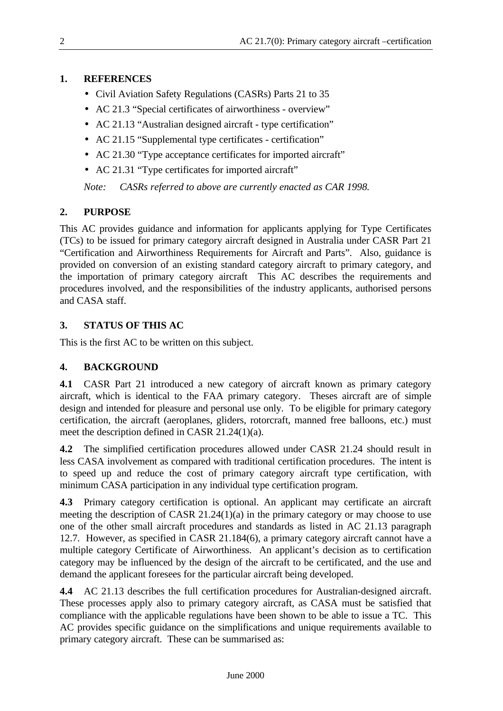#### **1. REFERENCES**

- Civil Aviation Safety Regulations (CASRs) Parts 21 to 35
- AC 21.3 "Special certificates of airworthiness overview"
- AC 21.13 "Australian designed aircraft type certification"
- AC 21.15 "Supplemental type certificates certification"
- AC 21.30 "Type acceptance certificates for imported aircraft"
- AC 21.31 "Type certificates for imported aircraft"

*Note: CASRs referred to above are currently enacted as CAR 1998.*

### **2. PURPOSE**

This AC provides guidance and information for applicants applying for Type Certificates (TCs) to be issued for primary category aircraft designed in Australia under CASR Part 21 "Certification and Airworthiness Requirements for Aircraft and Parts". Also, guidance is provided on conversion of an existing standard category aircraft to primary category, and the importation of primary category aircraft This AC describes the requirements and procedures involved, and the responsibilities of the industry applicants, authorised persons and CASA staff.

### **3. STATUS OF THIS AC**

This is the first AC to be written on this subject.

#### **4. BACKGROUND**

**4.1** CASR Part 21 introduced a new category of aircraft known as primary category aircraft, which is identical to the FAA primary category. Theses aircraft are of simple design and intended for pleasure and personal use only. To be eligible for primary category certification, the aircraft (aeroplanes, gliders, rotorcraft, manned free balloons, etc.) must meet the description defined in CASR 21.24(1)(a).

**4.2** The simplified certification procedures allowed under CASR 21.24 should result in less CASA involvement as compared with traditional certification procedures. The intent is to speed up and reduce the cost of primary category aircraft type certification, with minimum CASA participation in any individual type certification program.

**4.3** Primary category certification is optional. An applicant may certificate an aircraft meeting the description of CASR 21.24(1)(a) in the primary category or may choose to use one of the other small aircraft procedures and standards as listed in AC 21.13 paragraph 12.7. However, as specified in CASR 21.184(6), a primary category aircraft cannot have a multiple category Certificate of Airworthiness. An applicant's decision as to certification category may be influenced by the design of the aircraft to be certificated, and the use and demand the applicant foresees for the particular aircraft being developed.

**4.4** AC 21.13 describes the full certification procedures for Australian-designed aircraft. These processes apply also to primary category aircraft, as CASA must be satisfied that compliance with the applicable regulations have been shown to be able to issue a TC. This AC provides specific guidance on the simplifications and unique requirements available to primary category aircraft. These can be summarised as: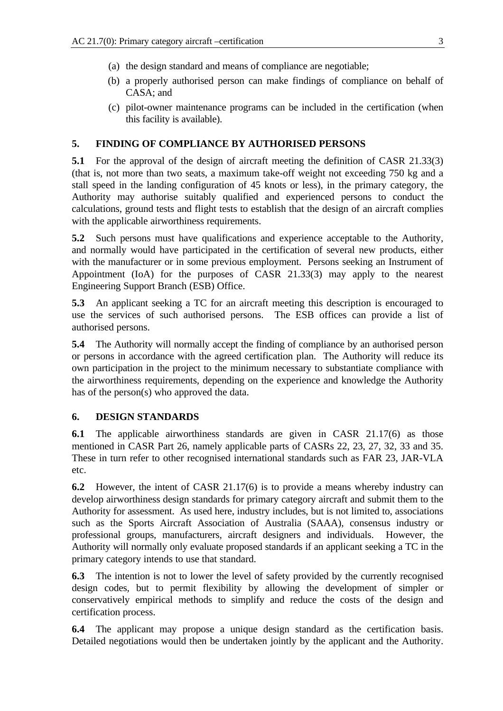- (a) the design standard and means of compliance are negotiable;
- (b) a properly authorised person can make findings of compliance on behalf of CASA; and
- (c) pilot-owner maintenance programs can be included in the certification (when this facility is available).

#### **5. FINDING OF COMPLIANCE BY AUTHORISED PERSONS**

**5.1** For the approval of the design of aircraft meeting the definition of CASR 21.33(3) (that is, not more than two seats, a maximum take-off weight not exceeding 750 kg and a stall speed in the landing configuration of 45 knots or less), in the primary category, the Authority may authorise suitably qualified and experienced persons to conduct the calculations, ground tests and flight tests to establish that the design of an aircraft complies with the applicable airworthiness requirements.

**5.2** Such persons must have qualifications and experience acceptable to the Authority, and normally would have participated in the certification of several new products, either with the manufacturer or in some previous employment. Persons seeking an Instrument of Appointment (IoA) for the purposes of CASR 21.33(3) may apply to the nearest Engineering Support Branch (ESB) Office.

**5.3** An applicant seeking a TC for an aircraft meeting this description is encouraged to use the services of such authorised persons. The ESB offices can provide a list of authorised persons.

**5.4** The Authority will normally accept the finding of compliance by an authorised person or persons in accordance with the agreed certification plan. The Authority will reduce its own participation in the project to the minimum necessary to substantiate compliance with the airworthiness requirements, depending on the experience and knowledge the Authority has of the person(s) who approved the data.

#### **6. DESIGN STANDARDS**

**6.1** The applicable airworthiness standards are given in CASR 21.17(6) as those mentioned in CASR Part 26, namely applicable parts of CASRs 22, 23, 27, 32, 33 and 35. These in turn refer to other recognised international standards such as FAR 23, JAR-VLA etc.

**6.2** However, the intent of CASR 21.17(6) is to provide a means whereby industry can develop airworthiness design standards for primary category aircraft and submit them to the Authority for assessment. As used here, industry includes, but is not limited to, associations such as the Sports Aircraft Association of Australia (SAAA), consensus industry or professional groups, manufacturers, aircraft designers and individuals. However, the Authority will normally only evaluate proposed standards if an applicant seeking a TC in the primary category intends to use that standard.

**6.3** The intention is not to lower the level of safety provided by the currently recognised design codes, but to permit flexibility by allowing the development of simpler or conservatively empirical methods to simplify and reduce the costs of the design and certification process.

**6.4** The applicant may propose a unique design standard as the certification basis. Detailed negotiations would then be undertaken jointly by the applicant and the Authority.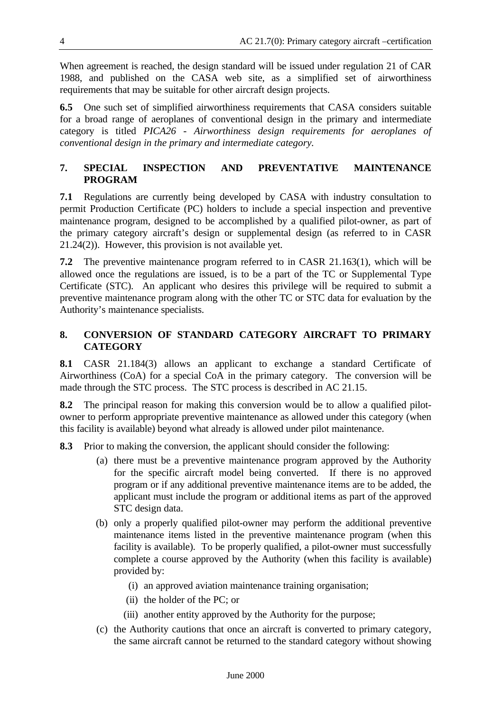When agreement is reached, the design standard will be issued under regulation 21 of CAR 1988, and published on the CASA web site, as a simplified set of airworthiness requirements that may be suitable for other aircraft design projects.

**6.5** One such set of simplified airworthiness requirements that CASA considers suitable for a broad range of aeroplanes of conventional design in the primary and intermediate category is titled *PICA26 - Airworthiness design requirements for aeroplanes of conventional design in the primary and intermediate category.*

#### **7. SPECIAL INSPECTION AND PREVENTATIVE MAINTENANCE PROGRAM**

**7.1** Regulations are currently being developed by CASA with industry consultation to permit Production Certificate (PC) holders to include a special inspection and preventive maintenance program, designed to be accomplished by a qualified pilot-owner, as part of the primary category aircraft's design or supplemental design (as referred to in CASR 21.24(2)). However, this provision is not available yet.

**7.2** The preventive maintenance program referred to in CASR 21.163(1), which will be allowed once the regulations are issued, is to be a part of the TC or Supplemental Type Certificate (STC). An applicant who desires this privilege will be required to submit a preventive maintenance program along with the other TC or STC data for evaluation by the Authority's maintenance specialists.

#### **8. CONVERSION OF STANDARD CATEGORY AIRCRAFT TO PRIMARY CATEGORY**

**8.1** CASR 21.184(3) allows an applicant to exchange a standard Certificate of Airworthiness (CoA) for a special CoA in the primary category. The conversion will be made through the STC process. The STC process is described in AC 21.15.

**8.2** The principal reason for making this conversion would be to allow a qualified pilotowner to perform appropriate preventive maintenance as allowed under this category (when this facility is available) beyond what already is allowed under pilot maintenance.

**8.3** Prior to making the conversion, the applicant should consider the following:

- (a) there must be a preventive maintenance program approved by the Authority for the specific aircraft model being converted. If there is no approved program or if any additional preventive maintenance items are to be added, the applicant must include the program or additional items as part of the approved STC design data.
- (b) only a properly qualified pilot-owner may perform the additional preventive maintenance items listed in the preventive maintenance program (when this facility is available). To be properly qualified, a pilot-owner must successfully complete a course approved by the Authority (when this facility is available) provided by:
	- (i) an approved aviation maintenance training organisation;
	- (ii) the holder of the PC; or
	- (iii) another entity approved by the Authority for the purpose;
- (c) the Authority cautions that once an aircraft is converted to primary category, the same aircraft cannot be returned to the standard category without showing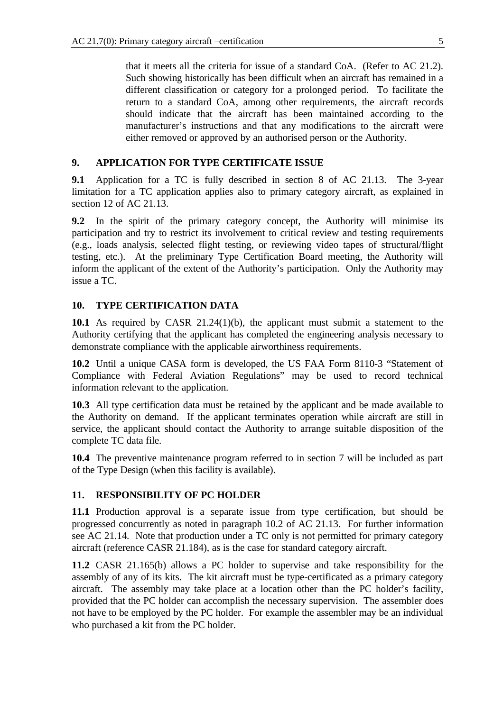that it meets all the criteria for issue of a standard CoA. (Refer to AC 21.2). Such showing historically has been difficult when an aircraft has remained in a different classification or category for a prolonged period. To facilitate the return to a standard CoA, among other requirements, the aircraft records should indicate that the aircraft has been maintained according to the manufacturer's instructions and that any modifications to the aircraft were either removed or approved by an authorised person or the Authority.

#### **9. APPLICATION FOR TYPE CERTIFICATE ISSUE**

**9.1** Application for a TC is fully described in section 8 of AC 21.13. The 3-year limitation for a TC application applies also to primary category aircraft, as explained in section 12 of AC 21.13.

**9.2** In the spirit of the primary category concept, the Authority will minimise its participation and try to restrict its involvement to critical review and testing requirements (e.g., loads analysis, selected flight testing, or reviewing video tapes of structural/flight testing, etc.). At the preliminary Type Certification Board meeting, the Authority will inform the applicant of the extent of the Authority's participation. Only the Authority may issue a TC.

#### **10. TYPE CERTIFICATION DATA**

**10.1** As required by CASR 21.24(1)(b), the applicant must submit a statement to the Authority certifying that the applicant has completed the engineering analysis necessary to demonstrate compliance with the applicable airworthiness requirements.

**10.2** Until a unique CASA form is developed, the US FAA Form 8110-3 "Statement of Compliance with Federal Aviation Regulations" may be used to record technical information relevant to the application.

**10.3** All type certification data must be retained by the applicant and be made available to the Authority on demand. If the applicant terminates operation while aircraft are still in service, the applicant should contact the Authority to arrange suitable disposition of the complete TC data file.

**10.4** The preventive maintenance program referred to in section 7 will be included as part of the Type Design (when this facility is available).

#### **11. RESPONSIBILITY OF PC HOLDER**

**11.1** Production approval is a separate issue from type certification, but should be progressed concurrently as noted in paragraph 10.2 of AC 21.13. For further information see AC 21.14*.* Note that production under a TC only is not permitted for primary category aircraft (reference CASR 21.184), as is the case for standard category aircraft.

**11.2** CASR 21.165(b) allows a PC holder to supervise and take responsibility for the assembly of any of its kits. The kit aircraft must be type-certificated as a primary category aircraft. The assembly may take place at a location other than the PC holder's facility, provided that the PC holder can accomplish the necessary supervision. The assembler does not have to be employed by the PC holder. For example the assembler may be an individual who purchased a kit from the PC holder.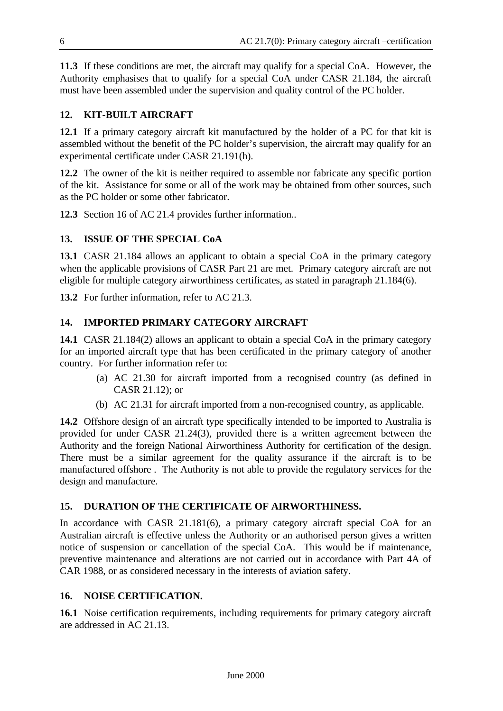**11.3** If these conditions are met, the aircraft may qualify for a special CoA. However, the Authority emphasises that to qualify for a special CoA under CASR 21.184, the aircraft must have been assembled under the supervision and quality control of the PC holder.

#### **12. KIT-BUILT AIRCRAFT**

**12.1** If a primary category aircraft kit manufactured by the holder of a PC for that kit is assembled without the benefit of the PC holder's supervision, the aircraft may qualify for an experimental certificate under CASR 21.191(h).

**12.2** The owner of the kit is neither required to assemble nor fabricate any specific portion of the kit. Assistance for some or all of the work may be obtained from other sources, such as the PC holder or some other fabricator.

**12.3** Section 16 of AC 21.4 provides further information..

#### **13. ISSUE OF THE SPECIAL CoA**

**13.1** CASR 21.184 allows an applicant to obtain a special CoA in the primary category when the applicable provisions of CASR Part 21 are met. Primary category aircraft are not eligible for multiple category airworthiness certificates, as stated in paragraph 21.184(6).

**13.2** For further information, refer to AC 21.3.

#### **14. IMPORTED PRIMARY CATEGORY AIRCRAFT**

**14.1** CASR 21.184(2) allows an applicant to obtain a special CoA in the primary category for an imported aircraft type that has been certificated in the primary category of another country. For further information refer to:

- (a) AC 21.30 for aircraft imported from a recognised country (as defined in CASR 21.12); or
- (b) AC 21.31 for aircraft imported from a non-recognised country, as applicable.

**14.2** Offshore design of an aircraft type specifically intended to be imported to Australia is provided for under CASR 21.24(3), provided there is a written agreement between the Authority and the foreign National Airworthiness Authority for certification of the design. There must be a similar agreement for the quality assurance if the aircraft is to be manufactured offshore . The Authority is not able to provide the regulatory services for the design and manufacture.

#### **15. DURATION OF THE CERTIFICATE OF AIRWORTHINESS.**

In accordance with CASR 21.181(6), a primary category aircraft special CoA for an Australian aircraft is effective unless the Authority or an authorised person gives a written notice of suspension or cancellation of the special CoA. This would be if maintenance, preventive maintenance and alterations are not carried out in accordance with Part 4A of CAR 1988, or as considered necessary in the interests of aviation safety.

#### **16. NOISE CERTIFICATION.**

**16.1** Noise certification requirements, including requirements for primary category aircraft are addressed in AC 21.13.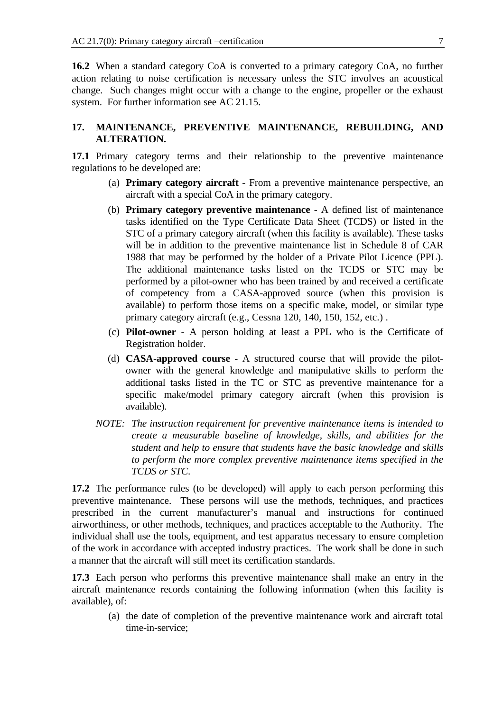**16.2** When a standard category CoA is converted to a primary category CoA, no further action relating to noise certification is necessary unless the STC involves an acoustical change. Such changes might occur with a change to the engine, propeller or the exhaust system. For further information see AC 21.15.

#### **17. MAINTENANCE, PREVENTIVE MAINTENANCE, REBUILDING, AND ALTERATION.**

**17.1** Primary category terms and their relationship to the preventive maintenance regulations to be developed are:

- (a) **Primary category aircraft** From a preventive maintenance perspective, an aircraft with a special CoA in the primary category.
- (b) **Primary category preventive maintenance** A defined list of maintenance tasks identified on the Type Certificate Data Sheet (TCDS) or listed in the STC of a primary category aircraft (when this facility is available). These tasks will be in addition to the preventive maintenance list in Schedule 8 of CAR 1988 that may be performed by the holder of a Private Pilot Licence (PPL). The additional maintenance tasks listed on the TCDS or STC may be performed by a pilot-owner who has been trained by and received a certificate of competency from a CASA-approved source (when this provision is available) to perform those items on a specific make, model, or similar type primary category aircraft (e.g., Cessna 120, 140, 150, 152, etc.) .
- (c) **Pilot-owner** A person holding at least a PPL who is the Certificate of Registration holder.
- (d) **CASA-approved course -** A structured course that will provide the pilotowner with the general knowledge and manipulative skills to perform the additional tasks listed in the TC or STC as preventive maintenance for a specific make/model primary category aircraft (when this provision is available).
- *NOTE: The instruction requirement for preventive maintenance items is intended to create a measurable baseline of knowledge, skills, and abilities for the student and help to ensure that students have the basic knowledge and skills to perform the more complex preventive maintenance items specified in the TCDS or STC.*

**17.2** The performance rules (to be developed) will apply to each person performing this preventive maintenance. These persons will use the methods, techniques, and practices prescribed in the current manufacturer's manual and instructions for continued airworthiness, or other methods, techniques, and practices acceptable to the Authority. The individual shall use the tools, equipment, and test apparatus necessary to ensure completion of the work in accordance with accepted industry practices. The work shall be done in such a manner that the aircraft will still meet its certification standards.

**17.3** Each person who performs this preventive maintenance shall make an entry in the aircraft maintenance records containing the following information (when this facility is available), of:

(a) the date of completion of the preventive maintenance work and aircraft total time-in-service;